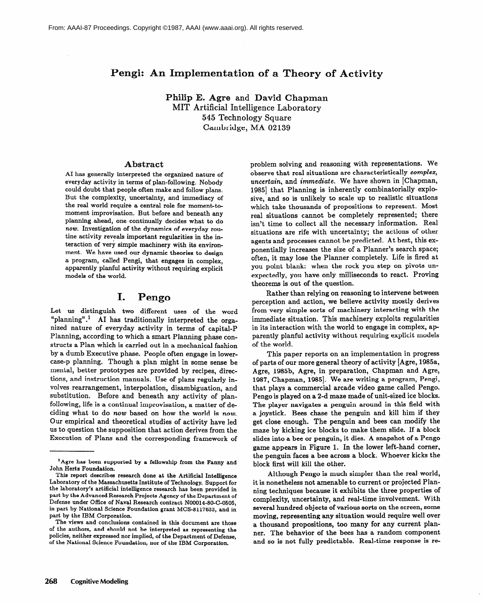# **Pengi: An Implementation of a Theory of Activity**

**Philip E. Agre** and **David Chapman**  MIT Artificial Intelligence Laboratory 545 Technology Square Cambridge, MA 02139

### **Abstract**

**AI has generally interpreted the organized nature of everyday activity in terms of plan-following. Nobody could doubt that people often make and follow plans. But the complexity, uncertainty, and immediacy of the real world require a central role for moment-tomoment improvisation. But before and beneath any planning** ahead, one continually decides what to do **now. Investigation of the dynamics of everyday routine activity reveals important regularities in the interaction of very simple machinery with its environment. We have used our dynamic theories to design**  a program, called **Pengi, that engages in complex, apparently planful activity without requiring explicit models of the world.** 

## **I. Pengo**

Let us distinguish two different uses of the word "planning".<sup>1</sup> AI has traditionally interpreted the organized nature of everyday activity in terms of capital-P Planning, according to which a smart Planning phase constructs a Plan which is carried out in a mechanical fashion by a dumb Executive phase. People often engage in lowercase-p planning. Though a plan might in some sense be mental, better prototypes are provided by recipes, directions, and instruction manuals. Use of plans regularly involves rearrangement, interpolation, disambiguation, and substitution. Before and beneath any activity of planfollowing, life is a continual improvisation, a matter of deciding what to do *now* based on how the world is *now.*  Our empirical and theoretical studies of activity have led us to question the supposition that action derives from the Execution of Plans and the corresponding framework of problem solving and reasoning with representations. We observe that real situations are characteristically *complex, uncertain,* and *immediate.* We have shown in [Chapman, 1985] that Planning is inherently combinatorially explosive, and so is unlikely to scale up to realistic situations which take thousands of propositions to represent. Most real situations cannot be completely represented; there isn't time to collect all the necessary information. Real **situations are rife with uncertainty; the actions of other**  agents and processes cannot be predicted. At best, this exponentially increases the size of a Planner's search space; often, it may lose the Planner completely. Life is fired at you point blank: when the rock you step on pivots unexpectedly, you have only milliseconds to react. Proving theorems is out of the question.

Rather than relying on reasoning to intervene between perception and action, we believe activity mostly derives from very simple sorts of machinery interacting with the immediate situation. This machinery exploits regularities in its interaction with the world to engage in complex, apparently planful activity without requiring explicit models of the world.

This paper reports on an implementation in progress of parts of our more general theory of activity [Agre, 1985a, Agre, 1985b, Agre, in preparation, Chapman and Agre, 1987, Chapman, 1985]. We are writing a program, Pengi, that plays a commercial arcade video game called Pengo. Pengo is played on a 2-d maze made of unit-sized ice blocks. The player navigates a penguin around in this field with a joystick. Bees chase the penguin and kill him if they get close enough. The penguin and bees can modify the maze by kicking ice blocks to make them slide. If a block slides into a bee or penguin, it dies. A snapshot of a Pengo game appears in Figure 1. In the lower left-hand corner, the penguin faces a bee across **a** block. Whoever kicks the block first will kill the other.

Although Pengo is much simpler than the real world, it is nonetheless not amenable to current or projected Planning techniques because it exhibits the three properties of complexity, uncertainty, and real-time involvement. With several hundred objects of various sorts on the screen, some moving, representing any situation would require well over a thousand propositions, too many for any current planner. The behavior of the bees has a random component and so is not fully predictable. Real-time response is re-

**lAgre has been supported by a fellowship from the Fanny and John Herts Foundation.** 

**This report describes research done at the Artificial Intelligence Laboratory of the Massachusetts Institute of Technology. Support for the laboratory's artificial intelligence research has been provided in part by the Advanced Research Projects Agency of the Department of Defense under Office of Naval Research contract NOOOl4-80-C-0505, in part by National Science Foundation grant MCS-8117633, and in part by the IBM Corporation.** 

**The views and conclusions contained in this document are those of the authors, and should not be interpreted as representing the policies, neither expressed nor implied, of the Department of Defense, of the National Science Foundation, nor of the IBM Corporation.**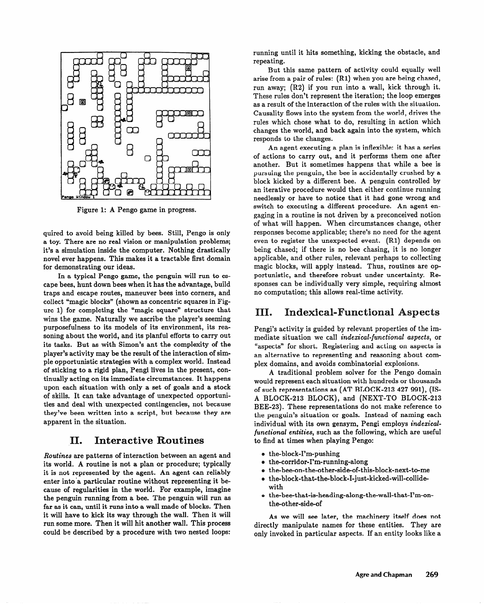

Figure 1: A Pengo game in progress.

quired to avoid being killed by bees. Still, Pengo is only a toy. There are no real vision or manipulation problems; it's a simulation inside the computer. Nothing drastically novel ever happens. This makes it a tractable first domain for demonstrating our ideas.

In a typical Pengo game, the penguin will run to escape bees, hunt down bees when it has the advantage, build traps and escape routes, maneuver bees into corners, and collect "magic blocks" (shown as concentric squares in Figure 1) for completing the "magic square" structure that wins the game. Naturally we ascribe the player's seeming purposefulness to its models of its environment, its reasoning about the world, and its planful efforts to carry out its tasks. But as with Simon's ant the complexity of the player's activity may be the result of the interaction of simple opportunistic strategies with a complex world. Instead of sticking to a rigid plan, Pengi lives in the present, continually acting on its immediate circumstances. It happens upon each situation with only a set of goals and a stock of skills. It can take advantage of unexpected opportunities and deal with unexpected contingencies, not because they've been written into a script, but because they are apparent in the situation.

# **II.** Interactive Routines

*Routines* are patterns of interaction between an agent and its world. A routine is not a plan or procedure; typically it is not represented by the agent. An agent can reliably enter into'a particular routine without representing it because of regularities in the world. For example, imagine the penguin running from a bee. The penguin will run as far as it can, until it runs into a wall made of blocks. Then it will have to kick its way through the wall. Then it will run some more. Then it will hit another wall. This process could be described by a procedure with two nested loops:

running until it hits something, kicking the obstacle, and repeating.

But this same pattern of activity could equally well arise from a pair of rules: (Rl) when you are being chased, run away; (R2) if you run into a wall, kick through it. These rules don't represent the iteration; the loop emerges as a result of the interaction of the rules with the situation. Causality flows into the system from the world, drives the rules which chose what to do, resulting in action which changes the world, and back again into the system, which responds to the changes.

An agent executing a plan is inflexible: it has a series of actions to carry out, and it performs them one after another. But it sometimes happens that while a bee is pursuing the penguin, the bee is accidentally crushed by a block kicked by a different bee. A penguin controlled by an iterative procedure would then either continue running needlessly or have to notice that it had gone wrong and switch to executing a different procedure. An agent engaging in a routine is not driven by a preconceived notion of what will happen. When circumstances change, other responses become applicable; there's no need for the agent even to register the unexpected event. (Rl) depends on being chased; if there is no bee chasing, it is no longer applicable, and other rules, relevant perhaps to collecting magic blocks, will apply instead. Thus, routines are opportunistic, and therefore robust under uncertainty. Responses can be individually very simple, requiring almost no computation; this allows real-time activity.

#### III. **Indexical-Functional Aspects**

Pengi's activity is guided by relevant properties of the immediate situation *we* call *indexical-junctional aspects,* or "aspects" for short. Registering and acting on aspects is an alternative to representing and reasoning about complex domains, and avoids combinatorial explosions.

A traditional problem solver for the Pengo domain would represent each situation with hundreds or thousands of such representations as (AT BLOCK-213 427 991), (IS-A BLOCK-213 BLOCK), and (NEXT-TO BLOCK-213 BEE-23). These representations do not make reference to the penguin's situation or goals. Instead of naming each individual with its own gensym, Pengi employs *indexicaljunctional entities,* such as the following, which are useful to find at times when playing Pengo:

- $\bullet$  the-block-I'm-pushing
- o the-corridor-I'm-running-along
- the-bee-on-the-other-side-of-this-block-next-to-me<br>• the-block-that-the-block-I-just-kicked-will-collide-
- a the-block-that-the-block-I-just-kicked-will-collidewith
- o the-bee-that-is-heading-along-the-wall-that-I'm-onthe-other-side-of

As we will see later, the machinery itself does not directly manipulate names for these entities. They are only invoked in particular aspects. If an entity looks like a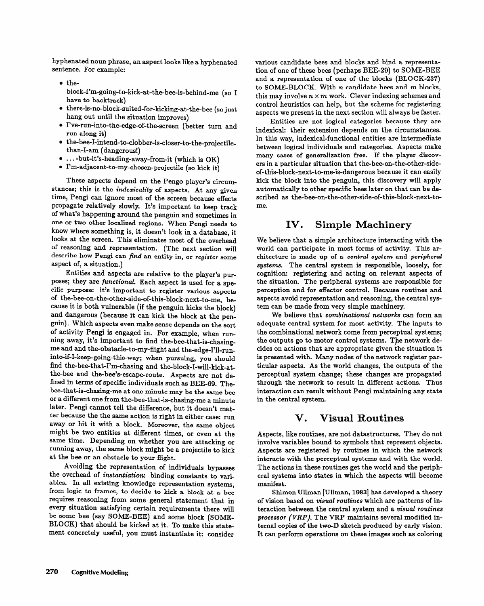hyphenated noun phrase, an aspect looks like a hyphenated sentence. For example:

- o theblock-I'm-going-to-kick-at-the-bee-is-behind-me (so I have to backtrack)
- e there-is-no-block-suited-for-kicking-at-the-bee (so just hang out until the situation improves)
- e I've-run-into-the-edge-of-the-screen (better turn and run along it)
- $\bullet$  the-bee-I-intend-to-clobber-is-closer-to-the-projectilethan-I-am (dangerous!)
- $\bullet$  ...-but-it's-heading-away-from-it (which is OK)
- e I'm-adjacent-to-my-chosen-projectile (so kick it)

These aspects depend on the Pengo player's circumstances; this is the *indexicality* of aspects. At any given time, Pengi can ignore most of the screen because effects propagate relatively slowly. It's important to keep track of what's happening around the penguin and sometimes in one or two other localized regions. When Pengi needs to know where something is, it doesn't look in **a** database, it looks at the screen. This eliminates most of the overhead of reasoning and representation. (The next section will describe how Pengi can *find* an entity in, or *register* some aspect of, a situation.)

Entities and aspects are relative to the player's purposes; they are *junctional.* Each aspect is used for a specific purpose: it's important to register various aspects of the-bee-on-the-other-side-of-this-block-next-to-me, because it is both vulnerable (if the penguin kicks the block) and dangerous (because it can kick the block at the penguin). Which aspects even make sense depends on the sort of activity Pengi is engaged in. For example, when running away, it's important to find the-bee-that-is-chasingme and and the-obstacle-to-my-flight and the-edge-I'll-runinto-if-I-keep-going-this-way; when pursuing, you should find the-bee-that-I'm-chasing and the-block-I-will-kick-atthe-bee and the-bee's-escape-route. Aspects are not defined in terms of specific individuals such as BEE-69. Thebee-that-is-chasing-me at one minute may be the same bee or a different one from the-bee-that-is-chasing-me a minute ter because the the same action is right in either case: run away or hit it with a block. Moreover, the same object might be two entities at different times, or even at the same time. Depending on whether you are attacking or same time. Depending on whether you are attacking or  $r_{\text{max}}$  away, the same block might be a projectile to kick at the bee or an obstacle to your flight.<br>Avoiding the representation of individuals bypasses

the overhead of instantiation: binding constants to variables. In all existing knowledge representation systems, from logic to frames, to decide to kick a block at a bee requires reasoning from some general statement that in every situation satisfying certain requirements there will be some bee (say SOME-BEE) and some block (SOME-BLOCK) that should be kicked at it. To make this state- $\frac{1}{2}$  that showed at it. It make this statement concretely you must instantiate it. consider

various candidate bees and blocks and bind a representation of one of these bees (perhaps BEE-29) to SOME-BEE and a representation of one of the blocks (BLOCK-237) to SOME-BLOCK. With *n* candidate bees and *m* blocks, this may involve  $n \times m$  work. Clever indexing schemes and control heuristics can help, but the scheme for registering aspects we present in the next section will always be faster.

Entities are not logical categories because they are indexical: their extension depends on the circumstances. In this way, indexical-functional entities are intermediate between logical individuals and categories. Aspects make many cases of generalization free. If the player discovers in a particular situation that the-bee-on-the-other-sideof-this-block-next-to-me-is-dangerous because it can easily kick the block into the penguin, this discovery will apply automatically to other specific bees later on that can be described as the-bee-on-the-other-side-of-this-block-next-to-

### IV. **Simple Machinery**

We believe that a simple architecture interacting with the world can participate in most forms of activity. This architecture is made up of a *central system* and *peripheral systems.* The central system is responsible, loosely, for cognition: registering and acting on relevant aspects of the situation. The peripheral systems are responsible for perception and for effector control. Because routines and aspects avoid representation and reasoning, the central sys-

tem can be made from very simple machinery.<br>We believe that *combinational networks* can form an We believe that *combinational networks* can form an adequate central system for most activity. The inputs to the combinational network come from perceptual systems; the outputs go to motor control systems. The network de-<br>cides on actions that are appropriate given the situation it is presented with. Many nodes of the network register particular aspects. As the world changes, the outputs of the perceptual system change; these changes are propagated through the network to result in different actions. Thus through the network to result in different actions. Thus interaction can result without Pengi maintaining any state in the central system.

# **V. Visual Routines**

Aspects, like routines, are not datastructures. They do not Aspects are registered by routines in which the network interacts with the perceptual systems and with the world. The actions in these routines get the world and the periph-The actions **in** these routines get the world and the peripheral systems into states in which the aspects will become manifest.<br>Shimon Ullman [Ullman, 1983] has developed a theory

of vision based on visual routines which are patterns of interaction between the central system and a visual routines processor (VRP). The VRP maintains several modified internal copies of the two-D sketch produced by early vision. It can not form coentions on these images such as estering. It can perform operations on these images such as coloring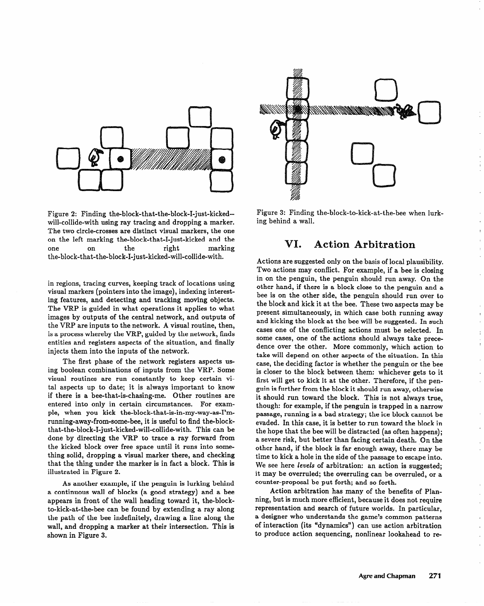

Figure 2: Finding the-block-that-the-block-I-just-kickedwill-collide-with using ray tracing and dropping a marker. The two circle-crosses are distinct visual markers, the one on the left marking the-block-that-I-just-kicked and the one on the right marking the-block-that-the-block-I-just-kicked-will-collide-with.

in regions, tracing curves, keeping track of locations using visual markers (pointers into the image), indexing interesting features, and detecting and tracking moving objects. The VRP is guided in what operations it applies to what images by outputs of the central network, and outputs of the VRP are inputs to the network. A visual routine, then, is a process whereby the VRP, guided by the network, finds entities and registers aspects of the situation, and finally injects them into the inputs of the network.

The first phase of the network registers aspects using boolean combinations of inputs from the VRP. Some visual routines are run constantly to keep certain vital aspects up to date; it is always important to know if there is a bee-that-is-chasing-me. Other routines are entered into only in certain circumstances. For example, when you kick the-block-that-is-in-my-way-as-I'mrunning-away-from-some-bee, it is useful to find the-blockthat-the-block-I-just-kicked-will-collide-with. This can be done by directing the VRP to trace a ray forward from the kicked block over free space until it runs into something solid, dropping a visual marker there, and checking that the thing under the marker is in fact a block. This is illustrated in Figure 2.

As another example, if the penguin is lurking behind a continuous wall of blocks (a good strategy) and a bee appears in front of the wall heading toward it, the-blockto-kick-at-the-bee can be found by extending a ray along the path of the bee indefinitely, drawing a line along the wall, and dropping a marker at their intersection. This is shown in Figure 3.



Figure 3: Finding the-block-to-kick-at-the-bee when lurking behind a wall.

# **VI.** Action Arbitration

Actions are suggested only on the basis of local plausibility. Two actions may conflict. For example, if a bee is closing in on the penguin, the penguin should run away. On the other hand, if there is a block close to the penguin and a bee is on the other side, the penguin should run over to the block and kick it at the bee. These two aspects may be present simultaneously, in which case both running away and kicking the block at the bee will be suggested. In such cases one of the conflicting actions must be selected. In some cases, one of the actions should always take precedence over the other. More commonly, which action to take will depend on other aspects of the situation. In this case, the deciding factor is whether the penguin or the bee is closer to the block between them: whichever gets to it first will get to kick it at the other. Therefore, if the penguin is further from the block it should run away, otherwise it should run toward the block. This is not always true, though: for example, if the penguin is trapped in a narrow passage, running is a bad strategy; the ice block cannot be evaded. In this case, it is better to run toward the block in the hope that the bee will be distracted (as often happens); a severe risk, but better than facing certain death. On the other hand, if the block is far enough away, there may be time to kick a hole in the side of the passage to escape into. We see here levels of arbitration: an action is suggested; it may be overruled; the overruling can be overruled, or a counter-proposal be put forth; and so forth.

Action arbitration has many of the benefits of Planning, but is much more efficient, because it does not require representation and search of future worlds. In particular, a designer who understands the game's common patterns of interaction (its "dynamics") can use action arbitration to produce action sequencing, nonlinear lookahead to re